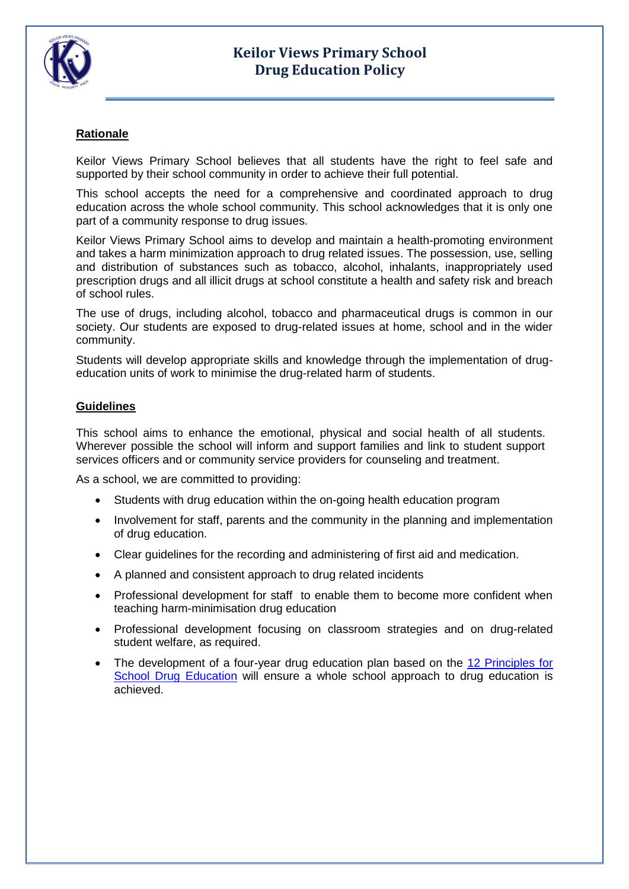

## **Rationale**

Keilor Views Primary School believes that all students have the right to feel safe and supported by their school community in order to achieve their full potential.

This school accepts the need for a comprehensive and coordinated approach to drug education across the whole school community. This school acknowledges that it is only one part of a community response to drug issues.

Keilor Views Primary School aims to develop and maintain a health-promoting environment and takes a harm minimization approach to drug related issues. The possession, use, selling and distribution of substances such as tobacco, alcohol, inhalants, inappropriately used prescription drugs and all illicit drugs at school constitute a health and safety risk and breach of school rules.

The use of drugs, including alcohol, tobacco and pharmaceutical drugs is common in our society. Our students are exposed to drug-related issues at home, school and in the wider community.

Students will develop appropriate skills and knowledge through the implementation of drugeducation units of work to minimise the drug-related harm of students.

## **Guidelines**

This school aims to enhance the emotional, physical and social health of all students. Wherever possible the school will inform and support families and link to student support services officers and or community service providers for counseling and treatment.

As a school, we are committed to providing:

- Students with drug education within the on-going health education program
- Involvement for staff, parents and the community in the planning and implementation of drug education.
- Clear guidelines for the recording and administering of first aid and medication.
- A planned and consistent approach to drug related incidents
- Professional development for staff to enable them to become more confident when teaching harm-minimisation drug education
- Professional development focusing on classroom strategies and on drug-related student welfare, as required.
- The development of a four-year drug education plan based on the [12 Principles for](http://www.dest.gov.au/sectors/school_education/policy_initiatives_reviews/key_issues/drug_education/principles.htm)  [School Drug Education](http://www.dest.gov.au/sectors/school_education/policy_initiatives_reviews/key_issues/drug_education/principles.htm) will ensure a whole school approach to drug education is achieved.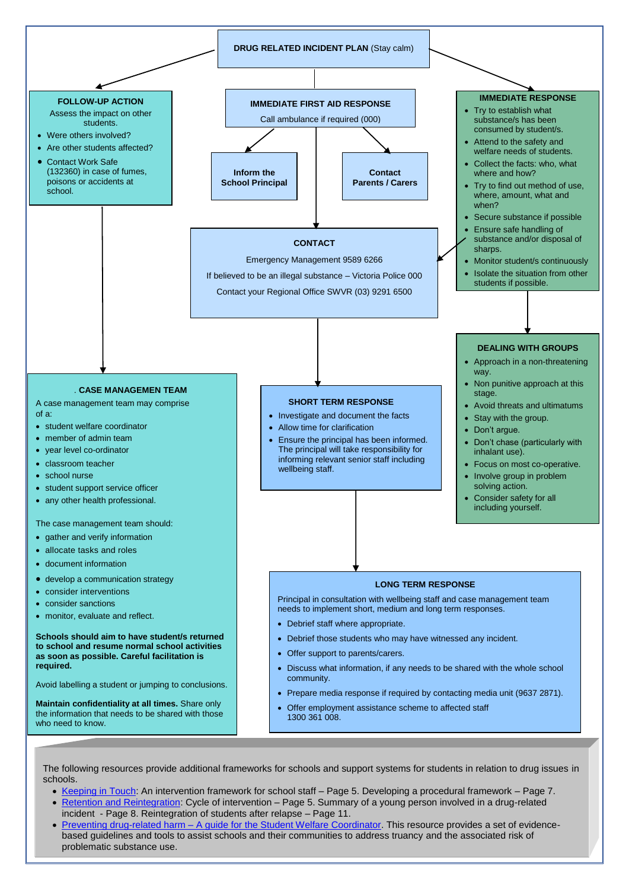

The following resources provide additional frameworks for schools and support systems for students in relation to drug issues in schools.

[Keeping in Touch:](http://www.dest.gov.au/Search.htm?query=keeping%20in%20touch) An intervention framework for school staff – Page 5. Developing a procedural framework – Page 7.

- [Retention and Reintegration:](http://www.education.vic.gov.au/studentlearning/programs/drugeducation/tchlearnteach.htm) Cycle of intervention Page 5. Summary of a young person involved in a drug-related incident - Page 8. Reintegration of students after relapse – Page 11.
- Preventing drug-related harm [A guide for the Student Welfare Coordinator.](http://www.education.vic.gov.au/studentlearning/programs/drugeducation/tchlearnteach.htm) This resource provides a set of evidencebased guidelines and tools to assist schools and their communities to address truancy and the associated risk of problematic substance use.